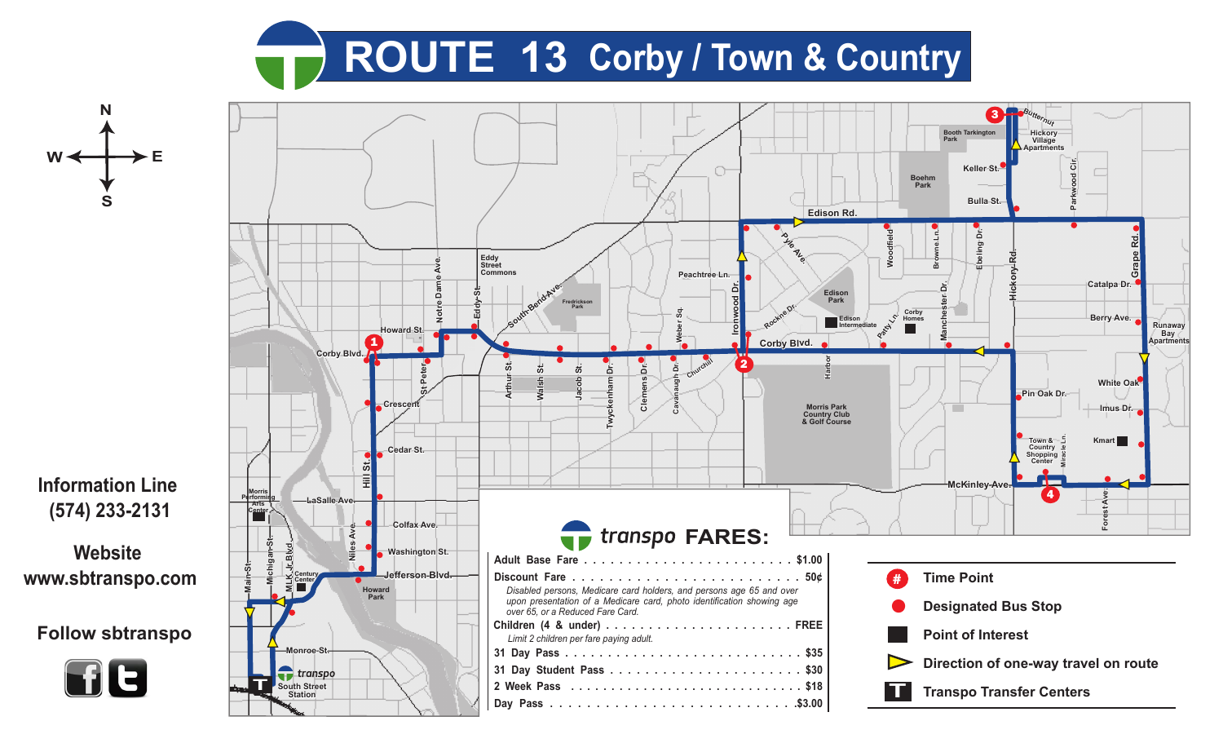





**(574) 233-2131**

**Website www.sbtranspo.com**

**Follow sbtranspo**